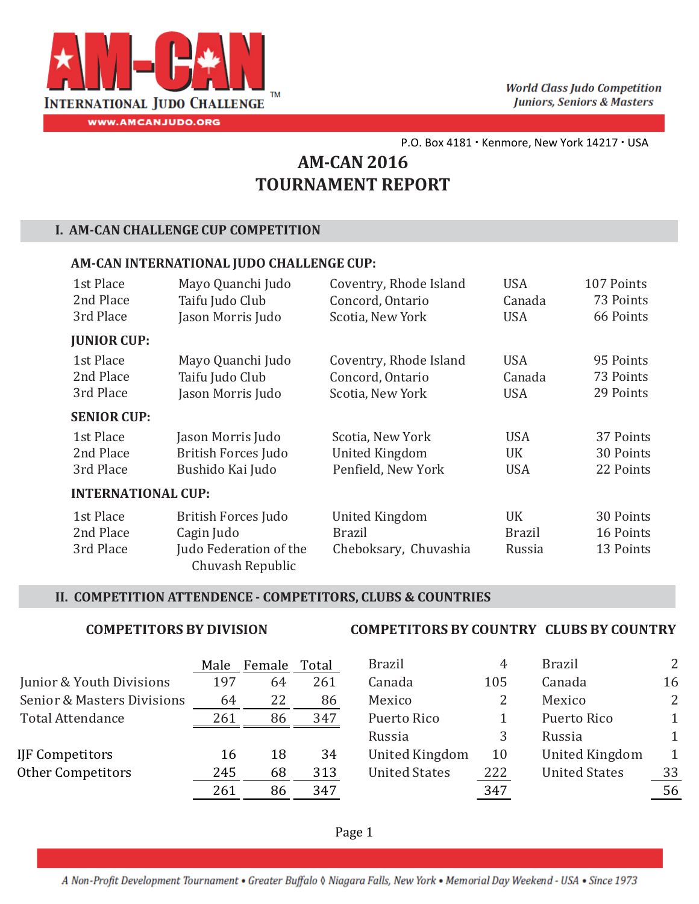

# **AM‐CAN 2016 TOURNAMENT REPORT**

#### **I. AM‐CAN CHALLENGE CUP COMPETITION**

#### **AM‐CAN INTERNATIONAL JUDO CHALLENGE CUP:**

| 1st Place                 | Mayo Quanchi Judo                          | Coventry, Rhode Island | <b>USA</b>    | 107 Points |
|---------------------------|--------------------------------------------|------------------------|---------------|------------|
| 2nd Place                 | Taifu Judo Club                            | Concord, Ontario       | Canada        | 73 Points  |
| 3rd Place                 | Jason Morris Judo                          | Scotia, New York       | <b>USA</b>    | 66 Points  |
| <b>JUNIOR CUP:</b>        |                                            |                        |               |            |
| 1st Place                 | Mayo Quanchi Judo                          | Coventry, Rhode Island | <b>USA</b>    | 95 Points  |
| 2nd Place                 | Taifu Judo Club                            | Concord, Ontario       | Canada        | 73 Points  |
| 3rd Place                 | Jason Morris Judo                          | Scotia, New York       | <b>USA</b>    | 29 Points  |
| <b>SENIOR CUP:</b>        |                                            |                        |               |            |
| 1st Place                 | Jason Morris Judo                          | Scotia, New York       | <b>USA</b>    | 37 Points  |
| 2nd Place                 | <b>British Forces Judo</b>                 | <b>United Kingdom</b>  | UK            | 30 Points  |
| 3rd Place                 | Bushido Kai Judo                           | Penfield, New York     | <b>USA</b>    | 22 Points  |
| <b>INTERNATIONAL CUP:</b> |                                            |                        |               |            |
| 1st Place                 | <b>British Forces Judo</b>                 | <b>United Kingdom</b>  | <b>UK</b>     | 30 Points  |
| 2nd Place                 | Cagin Judo                                 | <b>Brazil</b>          | <b>Brazil</b> | 16 Points  |
| 3rd Place                 | Judo Federation of the<br>Chuvash Republic | Cheboksary, Chuvashia  | Russia        | 13 Points  |

#### **II. COMPETITION ATTENDENCE ‐ COMPETITORS, CLUBS & COUNTRIES**

|                            | Male | Female | Total | <b>Brazil</b>         | 4   | <b>Brazil</b>         | $\overline{2}$ |
|----------------------------|------|--------|-------|-----------------------|-----|-----------------------|----------------|
| Junior & Youth Divisions   | 197  | 64     | 261   | Canada                | 105 | Canada                | 16             |
| Senior & Masters Divisions | 64   | 22     | 86    | Mexico                |     | Mexico                | $\overline{2}$ |
| Total Attendance           | 261  | 86     | 347   | Puerto Rico           |     | Puerto Rico           | 1              |
|                            |      |        |       | Russia                |     | Russia                | 1              |
| IJF Competitors            | 16   | 18     | 34    | <b>United Kingdom</b> | 10  | <b>United Kingdom</b> | $\mathbf 1$    |
| <b>Other Competitors</b>   | 245  | 68     | 313   | <b>United States</b>  | 222 | <b>United States</b>  | 33             |
|                            | 261  | 86     | 347   |                       | 347 |                       | 56             |

#### **COMPETITORS BY COUNTRY COMPETITORS BY DIVISION CLUBS BY COUNTRY**

| Male | Female | Total | <b>Brazil</b>         | 4   | <b>Brazil</b>         | 2            |
|------|--------|-------|-----------------------|-----|-----------------------|--------------|
| 197  | 64     | 261   | Canada                | 105 | Canada                | 16           |
| 64   | 22     | 86    | Mexico                | 2   | Mexico                | 2            |
| 261  | 86     | 347   | Puerto Rico           |     | Puerto Rico           | $\mathbf{1}$ |
|      |        |       | Russia                | 3   | Russia                |              |
| 16   | 18     | 34    | <b>United Kingdom</b> | 10  | <b>United Kingdom</b> | 1            |
| 245  | 68     | 313   | <b>United States</b>  | 222 | <b>United States</b>  | 33           |
| 261  | 86     | 347   |                       | 347 |                       | 56           |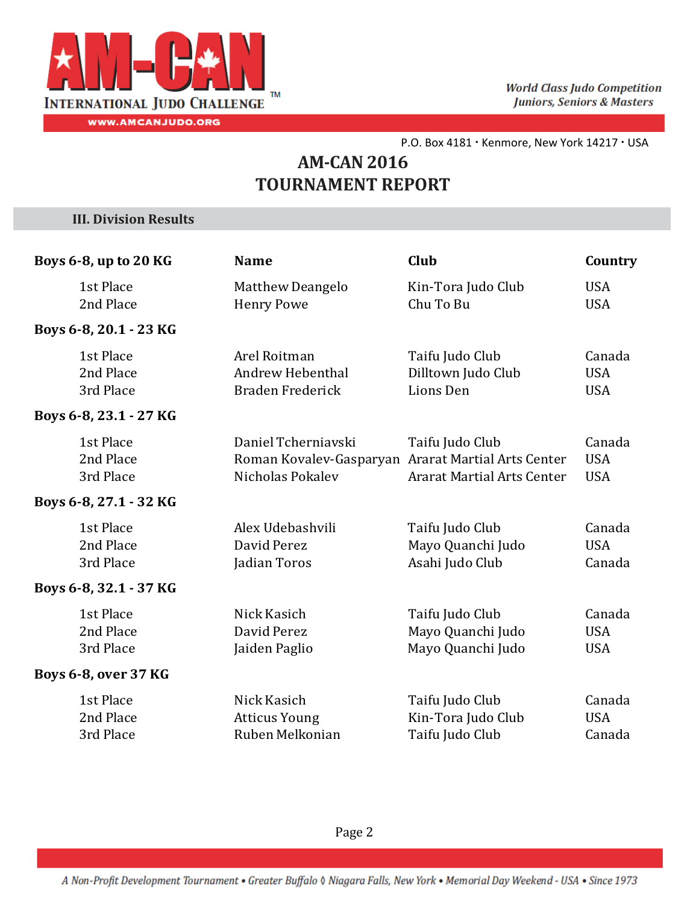

## **AM‐CAN 2016 TOURNAMENT REPORT**

**III. Division Results**

| Boys 6-8, up to 20 KG               | <b>Name</b>                                                                                   | Club                                                      | Country                            |
|-------------------------------------|-----------------------------------------------------------------------------------------------|-----------------------------------------------------------|------------------------------------|
| 1st Place<br>2nd Place              | <b>Matthew Deangelo</b><br><b>Henry Powe</b>                                                  | Kin-Tora Judo Club<br>Chu To Bu                           | <b>USA</b><br><b>USA</b>           |
| Boys 6-8, 20.1 - 23 KG              |                                                                                               |                                                           |                                    |
| 1st Place<br>2nd Place<br>3rd Place | Arel Roitman<br><b>Andrew Hebenthal</b><br><b>Braden Frederick</b>                            | Taifu Judo Club<br>Dilltown Judo Club<br>Lions Den        | Canada<br><b>USA</b><br><b>USA</b> |
| Boys 6-8, 23.1 - 27 KG              |                                                                                               |                                                           |                                    |
| 1st Place<br>2nd Place<br>3rd Place | Daniel Tcherniavski<br>Roman Kovalev-Gasparyan Ararat Martial Arts Center<br>Nicholas Pokalev | Taifu Judo Club<br><b>Ararat Martial Arts Center</b>      | Canada<br><b>USA</b><br><b>USA</b> |
| Boys 6-8, 27.1 - 32 KG              |                                                                                               |                                                           |                                    |
| 1st Place<br>2nd Place<br>3rd Place | Alex Udebashvili<br>David Perez<br>Jadian Toros                                               | Taifu Judo Club<br>Mayo Quanchi Judo<br>Asahi Judo Club   | Canada<br><b>USA</b><br>Canada     |
| Boys 6-8, 32.1 - 37 KG              |                                                                                               |                                                           |                                    |
| 1st Place<br>2nd Place<br>3rd Place | Nick Kasich<br>David Perez<br>Jaiden Paglio                                                   | Taifu Judo Club<br>Mayo Quanchi Judo<br>Mayo Quanchi Judo | Canada<br><b>USA</b><br><b>USA</b> |
| Boys 6-8, over 37 KG                |                                                                                               |                                                           |                                    |
| 1st Place<br>2nd Place<br>3rd Place | Nick Kasich<br><b>Atticus Young</b><br>Ruben Melkonian                                        | Taifu Judo Club<br>Kin-Tora Judo Club<br>Taifu Judo Club  | Canada<br><b>USA</b><br>Canada     |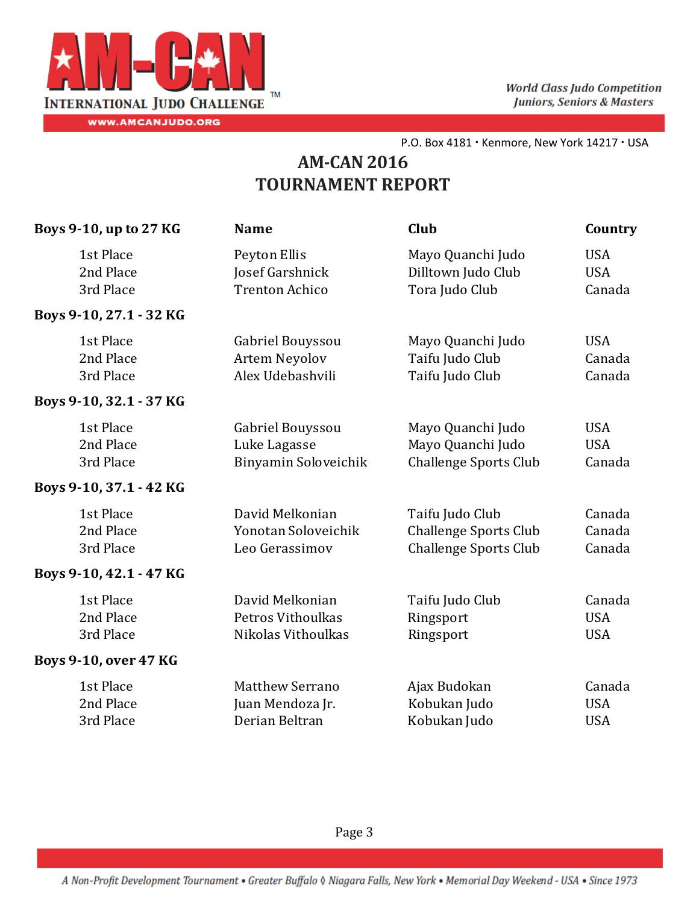

| Boys 9-10, up to 27 KG              | <b>Name</b>                                                  | Club                                                                            | Country                            |
|-------------------------------------|--------------------------------------------------------------|---------------------------------------------------------------------------------|------------------------------------|
| 1st Place<br>2nd Place<br>3rd Place | Peyton Ellis<br>Josef Garshnick<br><b>Trenton Achico</b>     | Mayo Quanchi Judo<br>Dilltown Judo Club<br>Tora Judo Club                       | <b>USA</b><br><b>USA</b><br>Canada |
| Boys 9-10, 27.1 - 32 KG             |                                                              |                                                                                 |                                    |
| 1st Place<br>2nd Place<br>3rd Place | Gabriel Bouyssou<br><b>Artem Neyolov</b><br>Alex Udebashvili | Mayo Quanchi Judo<br>Taifu Judo Club<br>Taifu Judo Club                         | <b>USA</b><br>Canada<br>Canada     |
| Boys 9-10, 32.1 - 37 KG             |                                                              |                                                                                 |                                    |
| 1st Place<br>2nd Place<br>3rd Place | Gabriel Bouyssou<br>Luke Lagasse<br>Binyamin Soloveichik     | Mayo Quanchi Judo<br>Mayo Quanchi Judo<br><b>Challenge Sports Club</b>          | <b>USA</b><br><b>USA</b><br>Canada |
| Boys 9-10, 37.1 - 42 KG             |                                                              |                                                                                 |                                    |
| 1st Place<br>2nd Place<br>3rd Place | David Melkonian<br>Yonotan Soloveichik<br>Leo Gerassimov     | Taifu Judo Club<br><b>Challenge Sports Club</b><br><b>Challenge Sports Club</b> | Canada<br>Canada<br>Canada         |
| Boys 9-10, 42.1 - 47 KG             |                                                              |                                                                                 |                                    |
| 1st Place<br>2nd Place<br>3rd Place | David Melkonian<br>Petros Vithoulkas<br>Nikolas Vithoulkas   | Taifu Judo Club<br>Ringsport<br>Ringsport                                       | Canada<br><b>USA</b><br><b>USA</b> |
| <b>Boys 9-10, over 47 KG</b>        |                                                              |                                                                                 |                                    |
| 1st Place<br>2nd Place<br>3rd Place | <b>Matthew Serrano</b><br>Juan Mendoza Jr.<br>Derian Beltran | Ajax Budokan<br>Kobukan Judo<br>Kobukan Judo                                    | Canada<br><b>USA</b><br><b>USA</b> |
|                                     |                                                              |                                                                                 |                                    |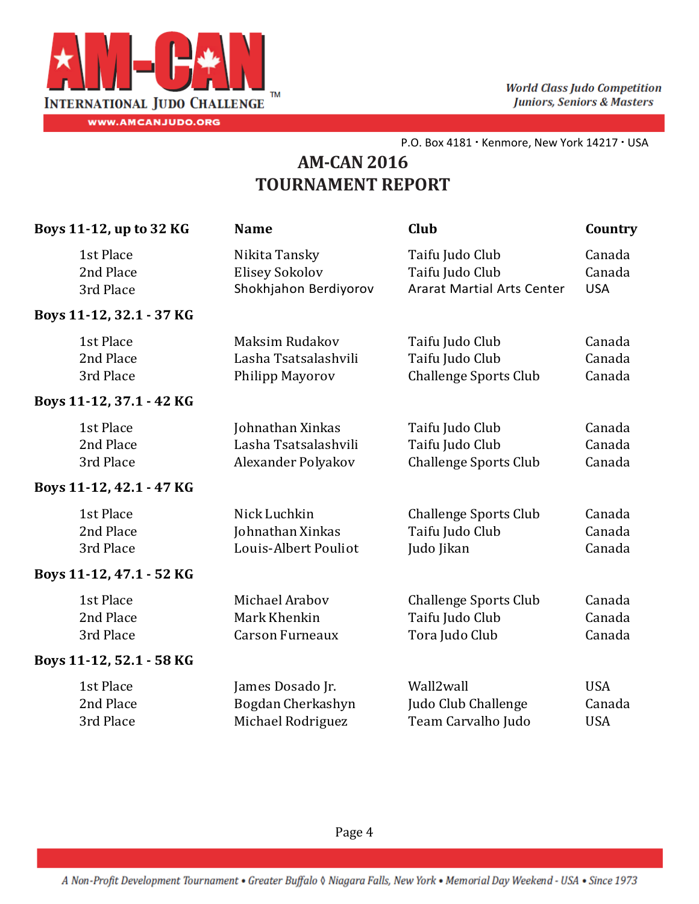

| 1st Place<br>Taifu Judo Club<br>Canada<br>Nikita Tansky<br>Canada<br>2nd Place<br>Elisey Sokolov<br>Taifu Judo Club<br>Shokhjahon Berdiyorov<br><b>Ararat Martial Arts Center</b><br>3rd Place<br><b>USA</b><br>Boys 11-12, 32.1 - 37 KG<br>1st Place<br>Maksim Rudakov<br>Taifu Judo Club<br>Canada<br>2nd Place<br>Lasha Tsatsalashvili<br>Taifu Judo Club<br>Canada<br>Canada<br>3rd Place<br>Philipp Mayorov<br><b>Challenge Sports Club</b><br>Boys 11-12, 37.1 - 42 KG<br>1st Place<br>Johnathan Xinkas<br>Taifu Judo Club<br>Canada<br>2nd Place<br>Lasha Tsatsalashvili<br>Taifu Judo Club<br>Canada<br>3rd Place<br>Alexander Polyakov<br><b>Challenge Sports Club</b><br>Canada<br>Boys 11-12, 42.1 - 47 KG<br>1st Place<br>Nick Luchkin<br>Canada<br><b>Challenge Sports Club</b><br>2nd Place<br>Johnathan Xinkas<br>Taifu Judo Club<br>Canada<br>3rd Place<br>Louis-Albert Pouliot<br>Judo Jikan<br>Canada<br>Boys 11-12, 47.1 - 52 KG<br>1st Place<br>Michael Arabov<br>Canada<br><b>Challenge Sports Club</b><br>2nd Place<br>Mark Khenkin<br>Canada<br>Taifu Judo Club<br>Tora Judo Club<br>Canada<br>3rd Place<br><b>Carson Furneaux</b><br>Boys 11-12, 52.1 - 58 KG<br>1st Place<br>Wall2wall<br><b>USA</b><br>James Dosado Jr.<br>2nd Place<br>Bogdan Cherkashyn<br>Judo Club Challenge<br>Canada<br>3rd Place<br>Michael Rodriguez<br>Team Carvalho Judo<br><b>USA</b> | Boys 11-12, up to 32 KG | <b>Name</b> | Club | Country |
|--------------------------------------------------------------------------------------------------------------------------------------------------------------------------------------------------------------------------------------------------------------------------------------------------------------------------------------------------------------------------------------------------------------------------------------------------------------------------------------------------------------------------------------------------------------------------------------------------------------------------------------------------------------------------------------------------------------------------------------------------------------------------------------------------------------------------------------------------------------------------------------------------------------------------------------------------------------------------------------------------------------------------------------------------------------------------------------------------------------------------------------------------------------------------------------------------------------------------------------------------------------------------------------------------------------------------------------------------------------------------------------------|-------------------------|-------------|------|---------|
|                                                                                                                                                                                                                                                                                                                                                                                                                                                                                                                                                                                                                                                                                                                                                                                                                                                                                                                                                                                                                                                                                                                                                                                                                                                                                                                                                                                            |                         |             |      |         |
|                                                                                                                                                                                                                                                                                                                                                                                                                                                                                                                                                                                                                                                                                                                                                                                                                                                                                                                                                                                                                                                                                                                                                                                                                                                                                                                                                                                            |                         |             |      |         |
|                                                                                                                                                                                                                                                                                                                                                                                                                                                                                                                                                                                                                                                                                                                                                                                                                                                                                                                                                                                                                                                                                                                                                                                                                                                                                                                                                                                            |                         |             |      |         |
|                                                                                                                                                                                                                                                                                                                                                                                                                                                                                                                                                                                                                                                                                                                                                                                                                                                                                                                                                                                                                                                                                                                                                                                                                                                                                                                                                                                            |                         |             |      |         |
|                                                                                                                                                                                                                                                                                                                                                                                                                                                                                                                                                                                                                                                                                                                                                                                                                                                                                                                                                                                                                                                                                                                                                                                                                                                                                                                                                                                            |                         |             |      |         |
|                                                                                                                                                                                                                                                                                                                                                                                                                                                                                                                                                                                                                                                                                                                                                                                                                                                                                                                                                                                                                                                                                                                                                                                                                                                                                                                                                                                            |                         |             |      |         |
|                                                                                                                                                                                                                                                                                                                                                                                                                                                                                                                                                                                                                                                                                                                                                                                                                                                                                                                                                                                                                                                                                                                                                                                                                                                                                                                                                                                            |                         |             |      |         |
|                                                                                                                                                                                                                                                                                                                                                                                                                                                                                                                                                                                                                                                                                                                                                                                                                                                                                                                                                                                                                                                                                                                                                                                                                                                                                                                                                                                            |                         |             |      |         |
|                                                                                                                                                                                                                                                                                                                                                                                                                                                                                                                                                                                                                                                                                                                                                                                                                                                                                                                                                                                                                                                                                                                                                                                                                                                                                                                                                                                            |                         |             |      |         |
|                                                                                                                                                                                                                                                                                                                                                                                                                                                                                                                                                                                                                                                                                                                                                                                                                                                                                                                                                                                                                                                                                                                                                                                                                                                                                                                                                                                            |                         |             |      |         |
|                                                                                                                                                                                                                                                                                                                                                                                                                                                                                                                                                                                                                                                                                                                                                                                                                                                                                                                                                                                                                                                                                                                                                                                                                                                                                                                                                                                            |                         |             |      |         |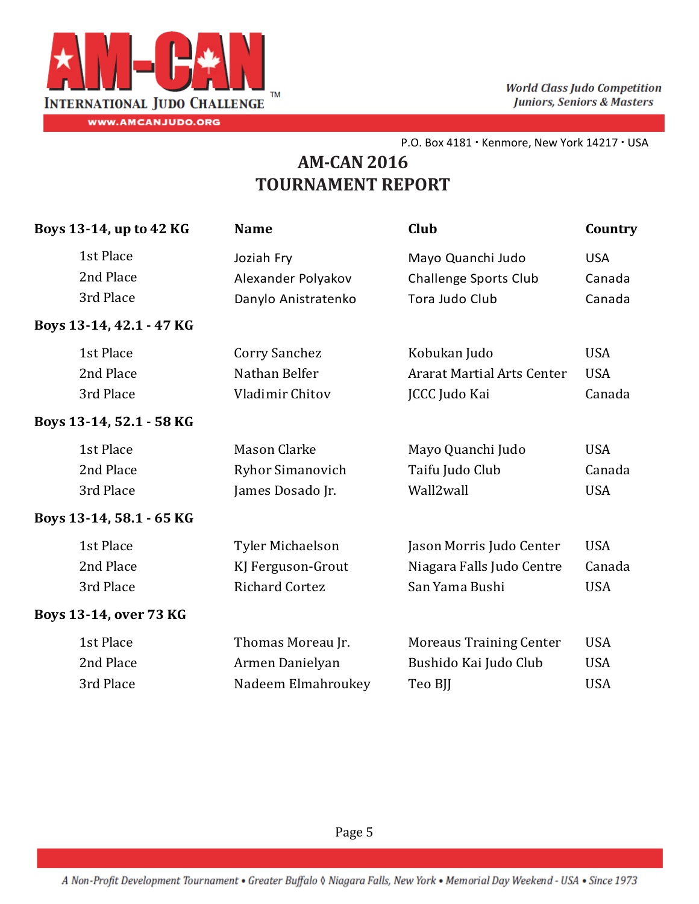

# **AM‐CAN 2016 TOURNAMENT REPORT**

| Boys 13-14, up to 42 KG  | <b>Name</b>             | Club                              | Country    |
|--------------------------|-------------------------|-----------------------------------|------------|
| 1st Place                | Joziah Fry              | Mayo Quanchi Judo                 | <b>USA</b> |
| 2nd Place                | Alexander Polyakov      | <b>Challenge Sports Club</b>      | Canada     |
| 3rd Place                | Danylo Anistratenko     | Tora Judo Club                    | Canada     |
| Boys 13-14, 42.1 - 47 KG |                         |                                   |            |
| 1st Place                | Corry Sanchez           | Kobukan Judo                      | <b>USA</b> |
| 2nd Place                | Nathan Belfer           | <b>Ararat Martial Arts Center</b> | <b>USA</b> |
| 3rd Place                | Vladimir Chitov         | JCCC Judo Kai                     | Canada     |
| Boys 13-14, 52.1 - 58 KG |                         |                                   |            |
| 1st Place                | Mason Clarke            | Mayo Quanchi Judo                 | <b>USA</b> |
| 2nd Place                | <b>Ryhor Simanovich</b> | Taifu Judo Club                   | Canada     |
| 3rd Place                | James Dosado Jr.        | Wall2wall                         | <b>USA</b> |
| Boys 13-14, 58.1 - 65 KG |                         |                                   |            |
| 1st Place                | Tyler Michaelson        | Jason Morris Judo Center          | <b>USA</b> |
| 2nd Place                | KJ Ferguson-Grout       | Niagara Falls Judo Centre         | Canada     |
| 3rd Place                | <b>Richard Cortez</b>   | San Yama Bushi                    | <b>USA</b> |
| Boys 13-14, over 73 KG   |                         |                                   |            |
| 1st Place                | Thomas Moreau Jr.       | <b>Moreaus Training Center</b>    | <b>USA</b> |
| 2nd Place                | Armen Danielyan         | Bushido Kai Judo Club             | <b>USA</b> |
| 3rd Place                | Nadeem Elmahroukey      | Teo BJJ                           | <b>USA</b> |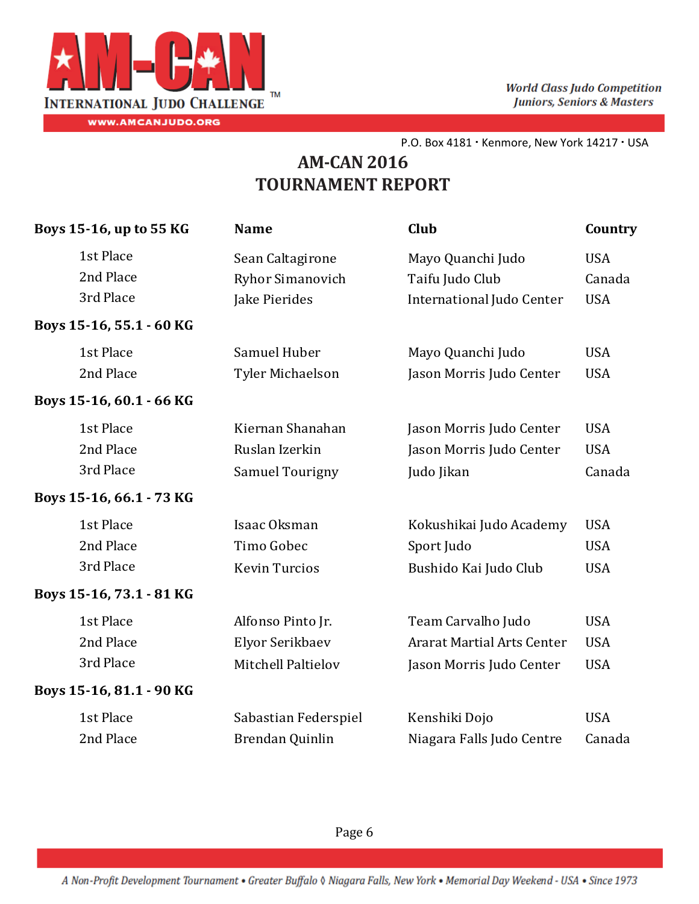

| Boys 15-16, up to 55 KG  | <b>Name</b>             | Club                              | Country    |
|--------------------------|-------------------------|-----------------------------------|------------|
| 1st Place                | Sean Caltagirone        | Mayo Quanchi Judo                 | <b>USA</b> |
| 2nd Place                | <b>Ryhor Simanovich</b> | Taifu Judo Club                   | Canada     |
| 3rd Place                | Jake Pierides           | International Judo Center         | <b>USA</b> |
| Boys 15-16, 55.1 - 60 KG |                         |                                   |            |
| 1st Place                | Samuel Huber            | Mayo Quanchi Judo                 | <b>USA</b> |
| 2nd Place                | Tyler Michaelson        | Jason Morris Judo Center          | <b>USA</b> |
| Boys 15-16, 60.1 - 66 KG |                         |                                   |            |
| 1st Place                | Kiernan Shanahan        | Jason Morris Judo Center          | <b>USA</b> |
| 2nd Place                | Ruslan Izerkin          | Jason Morris Judo Center          | <b>USA</b> |
| 3rd Place                | Samuel Tourigny         | Judo Jikan                        | Canada     |
| Boys 15-16, 66.1 - 73 KG |                         |                                   |            |
| 1st Place                | Isaac Oksman            | Kokushikai Judo Academy           | <b>USA</b> |
| 2nd Place                | Timo Gobec              | Sport Judo                        | <b>USA</b> |
| 3rd Place                | <b>Kevin Turcios</b>    | Bushido Kai Judo Club             | <b>USA</b> |
| Boys 15-16, 73.1 - 81 KG |                         |                                   |            |
| 1st Place                | Alfonso Pinto Jr.       | Team Carvalho Judo                | <b>USA</b> |
| 2nd Place                | Elyor Serikbaev         | <b>Ararat Martial Arts Center</b> | <b>USA</b> |
| 3rd Place                | Mitchell Paltielov      | Jason Morris Judo Center          | <b>USA</b> |
| Boys 15-16, 81.1 - 90 KG |                         |                                   |            |
| 1st Place                | Sabastian Federspiel    | Kenshiki Dojo                     | <b>USA</b> |
| 2nd Place                | Brendan Quinlin         | Niagara Falls Judo Centre         | Canada     |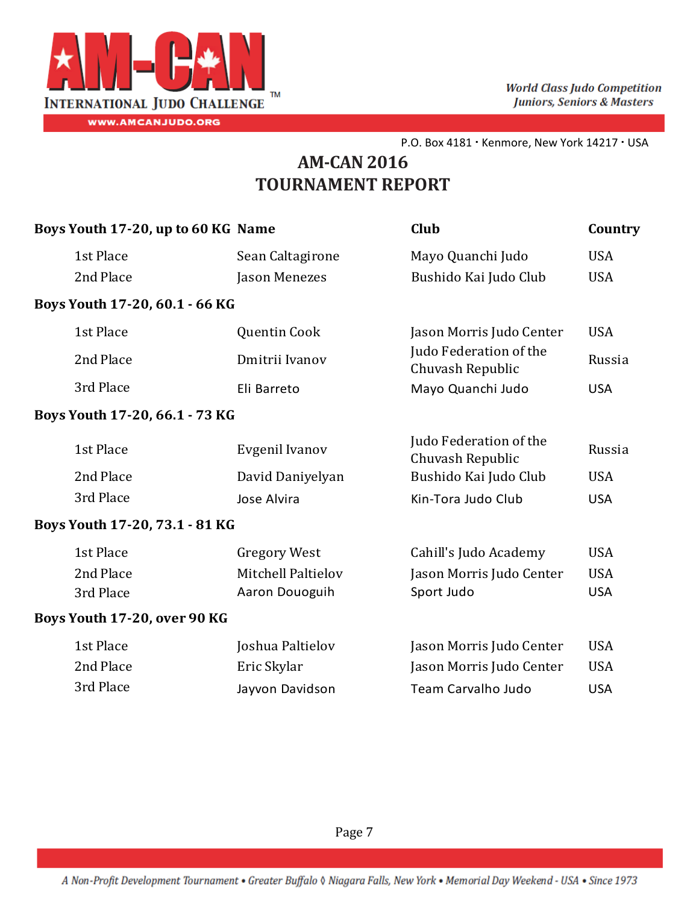

| Boys Youth 17-20, up to 60 KG Name |                     | Club                                       | Country    |
|------------------------------------|---------------------|--------------------------------------------|------------|
| 1st Place                          | Sean Caltagirone    | Mayo Quanchi Judo                          | <b>USA</b> |
| 2nd Place                          | Jason Menezes       | Bushido Kai Judo Club                      | <b>USA</b> |
| Boys Youth 17-20, 60.1 - 66 KG     |                     |                                            |            |
| 1st Place                          | Quentin Cook        | Jason Morris Judo Center                   | <b>USA</b> |
| 2nd Place                          | Dmitrii Ivanov      | Judo Federation of the<br>Chuvash Republic | Russia     |
| 3rd Place                          | Eli Barreto         | Mayo Quanchi Judo                          | <b>USA</b> |
| Boys Youth 17-20, 66.1 - 73 KG     |                     |                                            |            |
| 1st Place                          | Evgenil Ivanov      | Judo Federation of the<br>Chuvash Republic | Russia     |
| 2nd Place                          | David Daniyelyan    | Bushido Kai Judo Club                      | <b>USA</b> |
| 3rd Place                          | Jose Alvira         | Kin-Tora Judo Club                         | <b>USA</b> |
| Boys Youth 17-20, 73.1 - 81 KG     |                     |                                            |            |
| 1st Place                          | <b>Gregory West</b> | Cahill's Judo Academy                      | <b>USA</b> |
| 2nd Place                          | Mitchell Paltielov  | Jason Morris Judo Center                   | <b>USA</b> |
| 3rd Place                          | Aaron Douoguih      | Sport Judo                                 | <b>USA</b> |
| Boys Youth 17-20, over 90 KG       |                     |                                            |            |
| 1st Place                          | Joshua Paltielov    | Jason Morris Judo Center                   | <b>USA</b> |
| 2nd Place                          | Eric Skylar         | Jason Morris Judo Center                   | <b>USA</b> |
| 3rd Place                          | Jayvon Davidson     | Team Carvalho Judo                         | <b>USA</b> |
|                                    |                     |                                            |            |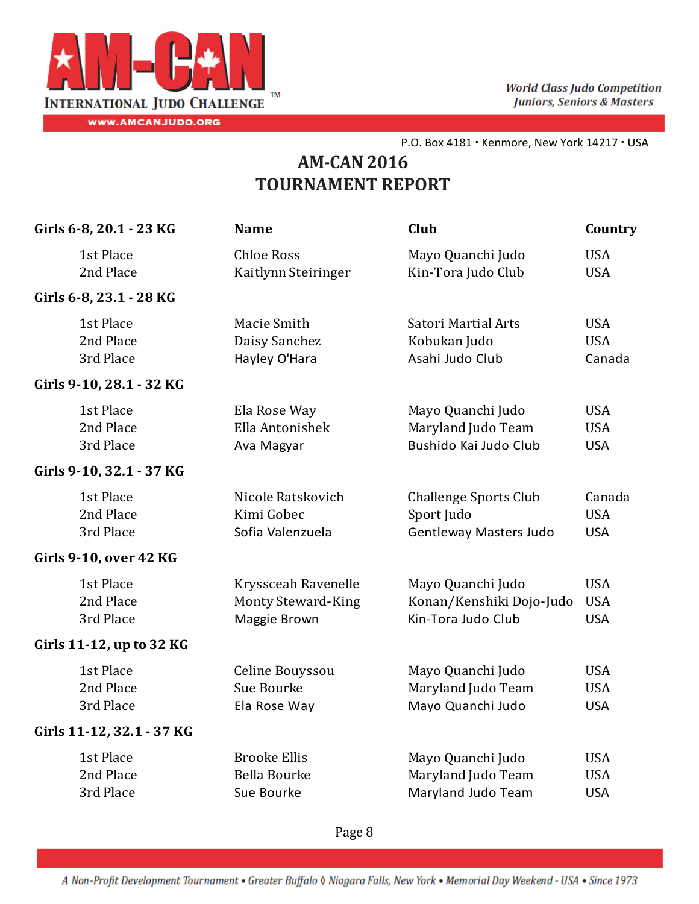

## **AM‐CAN 2016 TOURNAMENT REPORT**

| Girls 6-8, 20.1 - 23 KG       | <b>Name</b>               | <b>Club</b>                  | Country    |
|-------------------------------|---------------------------|------------------------------|------------|
| 1st Place                     | <b>Chloe Ross</b>         | Mayo Quanchi Judo            | <b>USA</b> |
| 2nd Place                     | Kaitlynn Steiringer       | Kin-Tora Judo Club           | <b>USA</b> |
| Girls 6-8, 23.1 - 28 KG       |                           |                              |            |
| 1st Place                     | Macie Smith               | Satori Martial Arts          | <b>USA</b> |
| 2nd Place                     | Daisy Sanchez             | Kobukan Judo                 | <b>USA</b> |
| 3rd Place                     | Hayley O'Hara             | Asahi Judo Club              | Canada     |
| Girls 9-10, 28.1 - 32 KG      |                           |                              |            |
| 1st Place                     | Ela Rose Way              | Mayo Quanchi Judo            | <b>USA</b> |
| 2nd Place                     | Ella Antonishek           | Maryland Judo Team           | <b>USA</b> |
| 3rd Place                     | Ava Magyar                | Bushido Kai Judo Club        | <b>USA</b> |
| Girls 9-10, 32.1 - 37 KG      |                           |                              |            |
| 1st Place                     | Nicole Ratskovich         | <b>Challenge Sports Club</b> | Canada     |
| 2nd Place                     | Kimi Gobec                | Sport Judo                   | <b>USA</b> |
| 3rd Place                     | Sofia Valenzuela          | Gentleway Masters Judo       | <b>USA</b> |
| <b>Girls 9-10, over 42 KG</b> |                           |                              |            |
| 1st Place                     | Kryssceah Ravenelle       | Mayo Quanchi Judo            | <b>USA</b> |
| 2nd Place                     | <b>Monty Steward-King</b> | Konan/Kenshiki Dojo-Judo     | <b>USA</b> |
| 3rd Place                     | Maggie Brown              | Kin-Tora Judo Club           | <b>USA</b> |
| Girls 11-12, up to 32 KG      |                           |                              |            |
| 1st Place                     | Celine Bouyssou           | Mayo Quanchi Judo            | <b>USA</b> |
| 2nd Place                     | Sue Bourke                | Maryland Judo Team           | <b>USA</b> |
| 3rd Place                     | Ela Rose Way              | Mayo Quanchi Judo            | <b>USA</b> |
| Girls 11-12, 32.1 - 37 KG     |                           |                              |            |
| 1st Place                     | <b>Brooke Ellis</b>       | Mayo Quanchi Judo            | <b>USA</b> |
| 2nd Place                     | <b>Bella Bourke</b>       | Maryland Judo Team           | <b>USA</b> |
| 3rd Place                     | Sue Bourke                | Maryland Judo Team           | <b>USA</b> |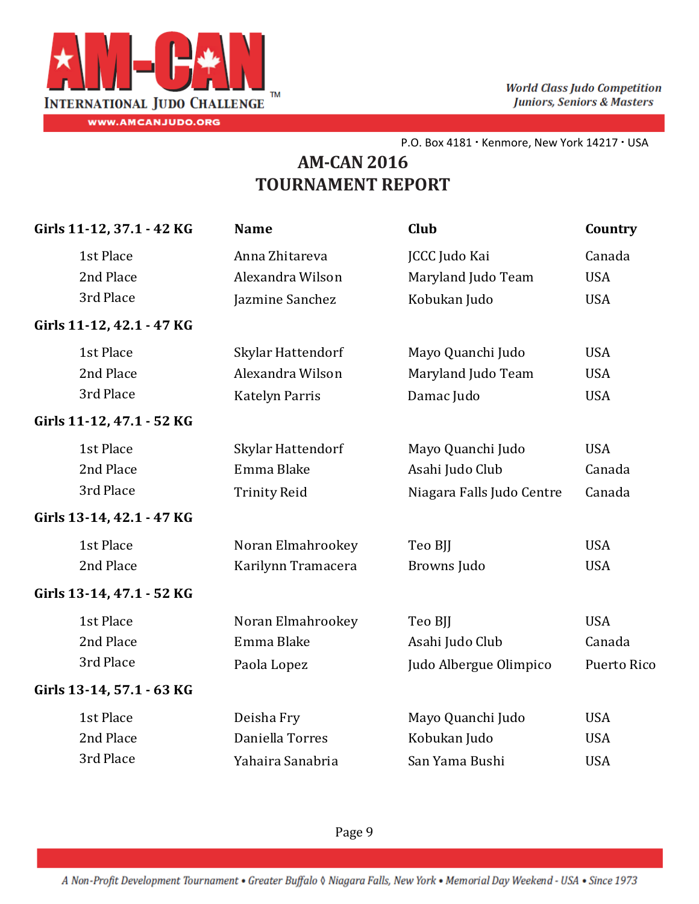

# **AM‐CAN 2016 TOURNAMENT REPORT**

| Girls 11-12, 37.1 - 42 KG | <b>Name</b>           | Club                      | Country     |
|---------------------------|-----------------------|---------------------------|-------------|
| 1st Place                 | Anna Zhitareva        | <b>JCCC Judo Kai</b>      | Canada      |
| 2nd Place                 | Alexandra Wilson      | Maryland Judo Team        | <b>USA</b>  |
| 3rd Place                 | Jazmine Sanchez       | Kobukan Judo              | <b>USA</b>  |
| Girls 11-12, 42.1 - 47 KG |                       |                           |             |
| 1st Place                 | Skylar Hattendorf     | Mayo Quanchi Judo         | <b>USA</b>  |
| 2nd Place                 | Alexandra Wilson      | Maryland Judo Team        | <b>USA</b>  |
| 3rd Place                 | <b>Katelyn Parris</b> | Damac Judo                | <b>USA</b>  |
| Girls 11-12, 47.1 - 52 KG |                       |                           |             |
| 1st Place                 | Skylar Hattendorf     | Mayo Quanchi Judo         | <b>USA</b>  |
| 2nd Place                 | Emma Blake            | Asahi Judo Club           | Canada      |
| 3rd Place                 | <b>Trinity Reid</b>   | Niagara Falls Judo Centre | Canada      |
| Girls 13-14, 42.1 - 47 KG |                       |                           |             |
| 1st Place                 | Noran Elmahrookey     | Teo BJJ                   | <b>USA</b>  |
| 2nd Place                 | Karilynn Tramacera    | Browns Judo               | <b>USA</b>  |
| Girls 13-14, 47.1 - 52 KG |                       |                           |             |
| 1st Place                 | Noran Elmahrookey     | Teo BJJ                   | <b>USA</b>  |
| 2nd Place                 | Emma Blake            | Asahi Judo Club           | Canada      |
| 3rd Place                 | Paola Lopez           | Judo Albergue Olimpico    | Puerto Rico |
| Girls 13-14, 57.1 - 63 KG |                       |                           |             |
| 1st Place                 | Deisha Fry            | Mayo Quanchi Judo         | <b>USA</b>  |
| 2nd Place                 | Daniella Torres       | Kobukan Judo              | <b>USA</b>  |
| 3rd Place                 | Yahaira Sanabria      | San Yama Bushi            | <b>USA</b>  |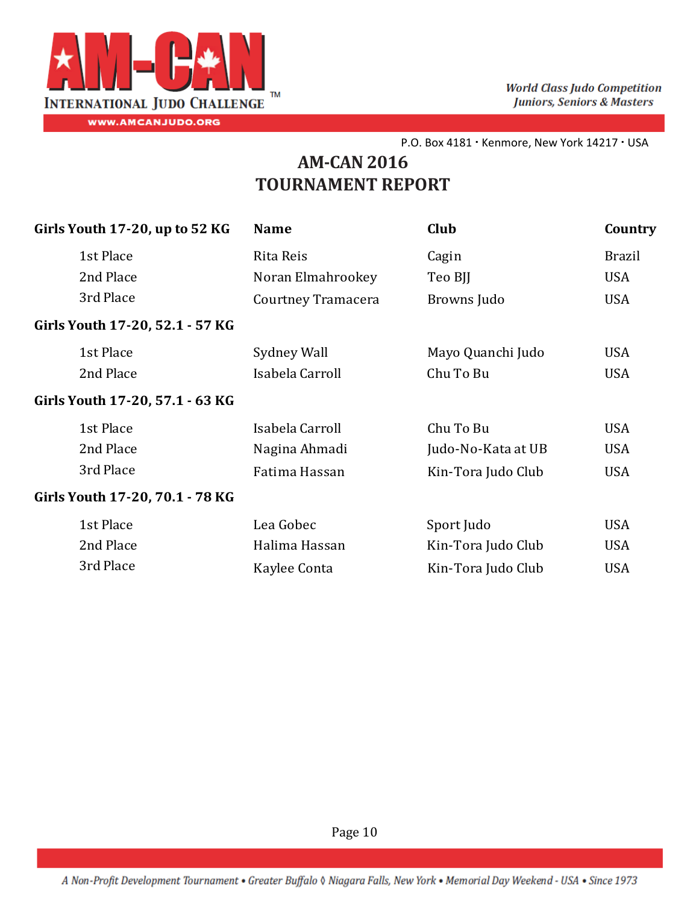

# **AM‐CAN 2016 TOURNAMENT REPORT**

| Girls Youth 17-20, up to 52 KG  | <b>Name</b>        | Club               | Country       |
|---------------------------------|--------------------|--------------------|---------------|
| 1st Place                       | Rita Reis          | Cagin              | <b>Brazil</b> |
| 2nd Place                       | Noran Elmahrookey  | Teo BJJ            | <b>USA</b>    |
| 3rd Place                       | Courtney Tramacera | Browns Judo        | <b>USA</b>    |
| Girls Youth 17-20, 52.1 - 57 KG |                    |                    |               |
| 1st Place                       | Sydney Wall        | Mayo Quanchi Judo  | <b>USA</b>    |
| 2nd Place                       | Isabela Carroll    | Chu To Bu          | <b>USA</b>    |
| Girls Youth 17-20, 57.1 - 63 KG |                    |                    |               |
| 1st Place                       | Isabela Carroll    | Chu To Bu          | <b>USA</b>    |
| 2nd Place                       | Nagina Ahmadi      | Judo-No-Kata at UB | <b>USA</b>    |
| 3rd Place                       | Fatima Hassan      | Kin-Tora Judo Club | <b>USA</b>    |
| Girls Youth 17-20, 70.1 - 78 KG |                    |                    |               |
| 1st Place                       | Lea Gobec          | Sport Judo         | <b>USA</b>    |
| 2nd Place                       | Halima Hassan      | Kin-Tora Judo Club | <b>USA</b>    |
| 3rd Place                       | Kaylee Conta       | Kin-Tora Judo Club | <b>USA</b>    |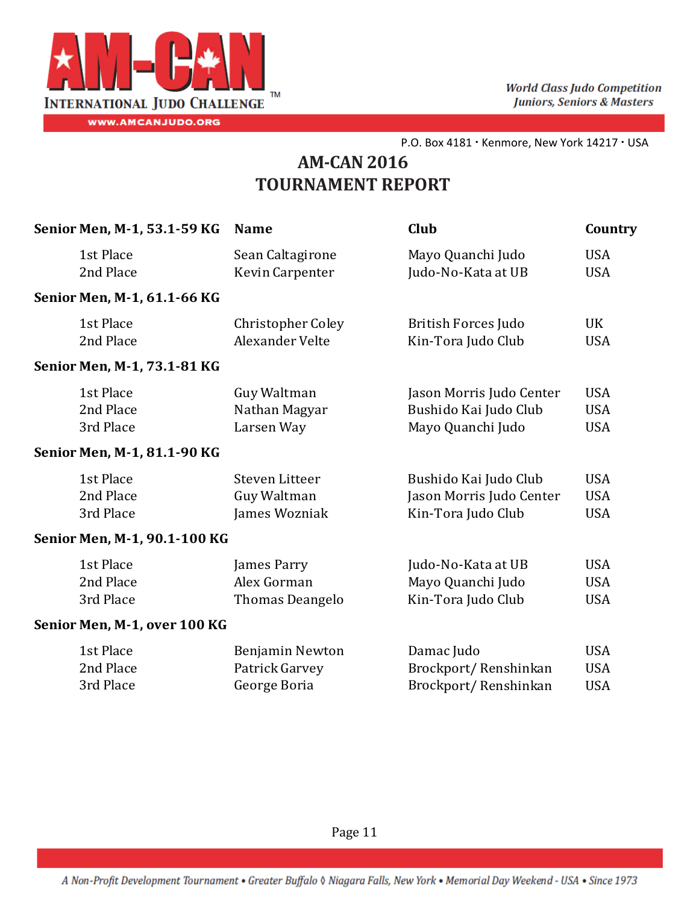

| Senior Men, M-1, 53.1-59 KG  | <b>Name</b>              | Club                       | Country    |
|------------------------------|--------------------------|----------------------------|------------|
| 1st Place                    | Sean Caltagirone         | Mayo Quanchi Judo          | <b>USA</b> |
| 2nd Place                    | Kevin Carpenter          | Judo-No-Kata at UB         | <b>USA</b> |
| Senior Men, M-1, 61.1-66 KG  |                          |                            |            |
| 1st Place                    | <b>Christopher Coley</b> | <b>British Forces Judo</b> | <b>UK</b>  |
| 2nd Place                    | <b>Alexander Velte</b>   | Kin-Tora Judo Club         | <b>USA</b> |
| Senior Men, M-1, 73.1-81 KG  |                          |                            |            |
| 1st Place                    | Guy Waltman              | Jason Morris Judo Center   | <b>USA</b> |
| 2nd Place                    | Nathan Magyar            | Bushido Kai Judo Club      | <b>USA</b> |
| 3rd Place                    | Larsen Way               | Mayo Quanchi Judo          | <b>USA</b> |
| Senior Men, M-1, 81.1-90 KG  |                          |                            |            |
| 1st Place                    | Steven Litteer           | Bushido Kai Judo Club      | <b>USA</b> |
| 2nd Place                    | Guy Waltman              | Jason Morris Judo Center   | <b>USA</b> |
| 3rd Place                    | James Wozniak            | Kin-Tora Judo Club         | <b>USA</b> |
| Senior Men, M-1, 90.1-100 KG |                          |                            |            |
| 1st Place                    | James Parry              | Judo-No-Kata at UB         | <b>USA</b> |
| 2nd Place                    | Alex Gorman              | Mayo Quanchi Judo          | <b>USA</b> |
| 3rd Place                    | Thomas Deangelo          | Kin-Tora Judo Club         | <b>USA</b> |
| Senior Men, M-1, over 100 KG |                          |                            |            |
| 1st Place                    | Benjamin Newton          | Damac Judo                 | <b>USA</b> |
| 2nd Place                    | Patrick Garvey           | Brockport/Renshinkan       | <b>USA</b> |
| 3rd Place                    | George Boria             | Brockport/Renshinkan       | <b>USA</b> |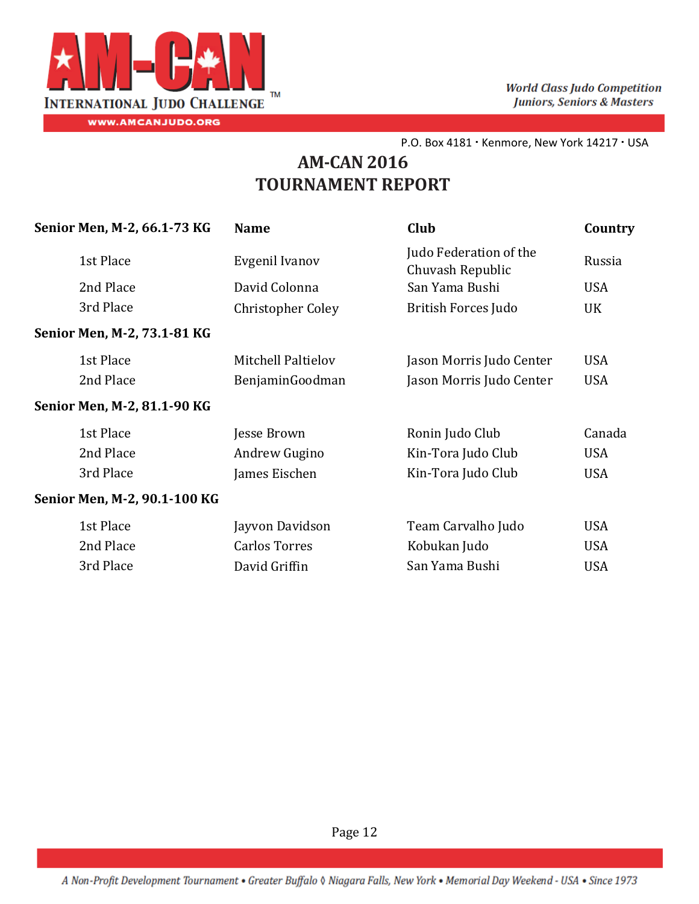

# **AM‐CAN 2016 TOURNAMENT REPORT**

| <b>Name</b>              | Club                                       | Country    |
|--------------------------|--------------------------------------------|------------|
| Evgenil Ivanov           | Judo Federation of the<br>Chuvash Republic | Russia     |
| David Colonna            | San Yama Bushi                             | <b>USA</b> |
| <b>Christopher Coley</b> | <b>British Forces Judo</b>                 | UK         |
|                          |                                            |            |
| Mitchell Paltielov       | Jason Morris Judo Center                   | <b>USA</b> |
| BenjaminGoodman          | Jason Morris Judo Center                   | <b>USA</b> |
|                          |                                            |            |
| Jesse Brown              | Ronin Judo Club                            | Canada     |
| Andrew Gugino            | Kin-Tora Judo Club                         | <b>USA</b> |
| James Eischen            | Kin-Tora Judo Club                         | <b>USA</b> |
|                          |                                            |            |
| Jayvon Davidson          | Team Carvalho Judo                         | <b>USA</b> |
| <b>Carlos Torres</b>     | Kobukan Judo                               | <b>USA</b> |
| David Griffin            | San Yama Bushi                             | <b>USA</b> |
|                          |                                            |            |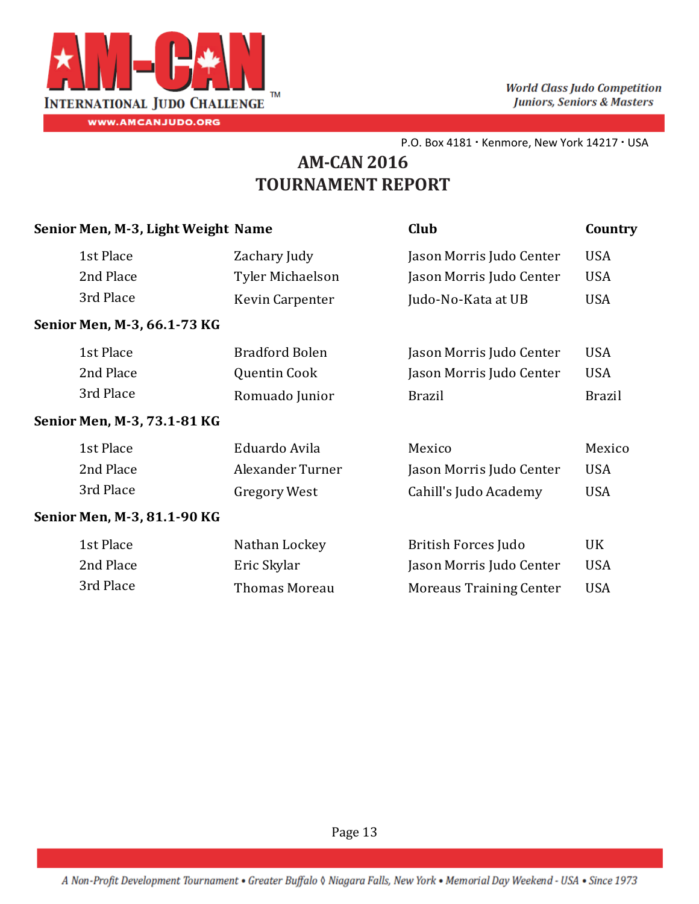

# **AM‐CAN 2016 TOURNAMENT REPORT**

| Senior Men, M-3, Light Weight Name |                       | Club                           | Country       |
|------------------------------------|-----------------------|--------------------------------|---------------|
| 1st Place                          | Zachary Judy          | Jason Morris Judo Center       | <b>USA</b>    |
| 2nd Place                          | Tyler Michaelson      | Jason Morris Judo Center       | <b>USA</b>    |
| 3rd Place                          | Kevin Carpenter       | Judo-No-Kata at UB             | <b>USA</b>    |
| Senior Men, M-3, 66.1-73 KG        |                       |                                |               |
| 1st Place                          | <b>Bradford Bolen</b> | Jason Morris Judo Center       | <b>USA</b>    |
| 2nd Place                          | Quentin Cook          | Jason Morris Judo Center       | <b>USA</b>    |
| 3rd Place                          | Romuado Junior        | <b>Brazil</b>                  | <b>Brazil</b> |
| Senior Men, M-3, 73.1-81 KG        |                       |                                |               |
| 1st Place                          | Eduardo Avila         | Mexico                         | Mexico        |
| 2nd Place                          | Alexander Turner      | Jason Morris Judo Center       | <b>USA</b>    |
| 3rd Place                          | <b>Gregory West</b>   | Cahill's Judo Academy          | <b>USA</b>    |
| Senior Men, M-3, 81.1-90 KG        |                       |                                |               |
| 1st Place                          | Nathan Lockey         | <b>British Forces Judo</b>     | UK            |
| 2nd Place                          | Eric Skylar           | Jason Morris Judo Center       | <b>USA</b>    |
| 3rd Place                          | <b>Thomas Moreau</b>  | <b>Moreaus Training Center</b> | <b>USA</b>    |
|                                    |                       |                                |               |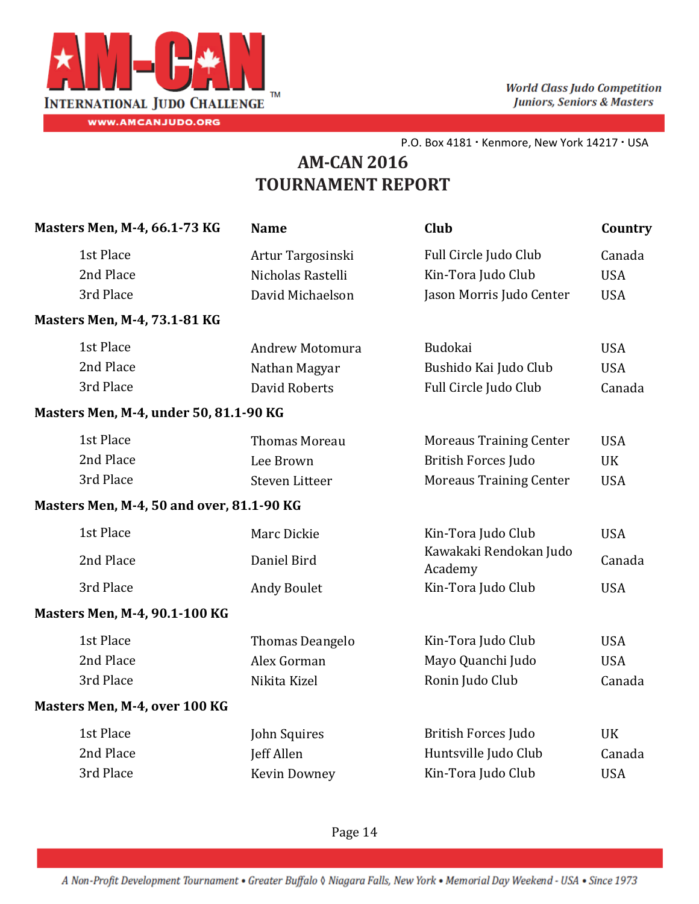

# **AM‐CAN 2016 TOURNAMENT REPORT**

| Masters Men, M-4, 66.1-73 KG              | <b>Name</b>            | Club                              | Country    |
|-------------------------------------------|------------------------|-----------------------------------|------------|
| 1st Place                                 | Artur Targosinski      | Full Circle Judo Club             | Canada     |
| 2nd Place                                 | Nicholas Rastelli      | Kin-Tora Judo Club                | <b>USA</b> |
| 3rd Place                                 | David Michaelson       | Jason Morris Judo Center          | <b>USA</b> |
| <b>Masters Men, M-4, 73.1-81 KG</b>       |                        |                                   |            |
| 1st Place                                 | Andrew Motomura        | Budokai                           | <b>USA</b> |
| 2nd Place                                 | Nathan Magyar          | Bushido Kai Judo Club             | <b>USA</b> |
| 3rd Place                                 | David Roberts          | Full Circle Judo Club             | Canada     |
| Masters Men, M-4, under 50, 81.1-90 KG    |                        |                                   |            |
| 1st Place                                 | <b>Thomas Moreau</b>   | <b>Moreaus Training Center</b>    | <b>USA</b> |
| 2nd Place                                 | Lee Brown              | <b>British Forces Judo</b>        | UK         |
| 3rd Place                                 | Steven Litteer         | <b>Moreaus Training Center</b>    | <b>USA</b> |
| Masters Men, M-4, 50 and over, 81.1-90 KG |                        |                                   |            |
| 1st Place                                 | Marc Dickie            | Kin-Tora Judo Club                | <b>USA</b> |
| 2nd Place                                 | Daniel Bird            | Kawakaki Rendokan Judo<br>Academy | Canada     |
| 3rd Place                                 | <b>Andy Boulet</b>     | Kin-Tora Judo Club                | <b>USA</b> |
| Masters Men, M-4, 90.1-100 KG             |                        |                                   |            |
| 1st Place                                 | <b>Thomas Deangelo</b> | Kin-Tora Judo Club                | <b>USA</b> |
| 2nd Place                                 | Alex Gorman            | Mayo Quanchi Judo                 | <b>USA</b> |
| 3rd Place                                 | Nikita Kizel           | Ronin Judo Club                   | Canada     |
| Masters Men, M-4, over 100 KG             |                        |                                   |            |
| 1st Place                                 | John Squires           | <b>British Forces Judo</b>        | <b>UK</b>  |
| 2nd Place                                 | Jeff Allen             | Huntsville Judo Club              | Canada     |
| 3rd Place                                 | Kevin Downey           | Kin-Tora Judo Club                | <b>USA</b> |
|                                           |                        |                                   |            |